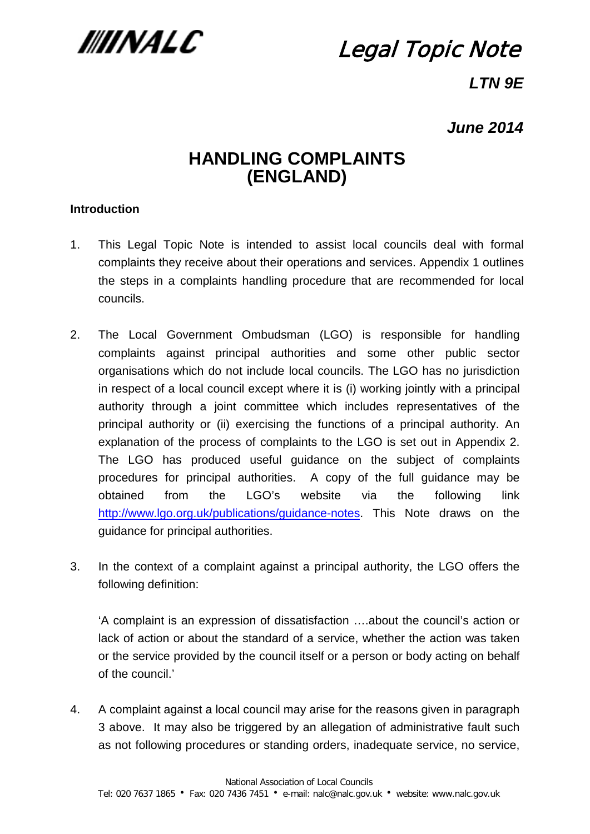

# Legal Topic Note

## *LTN 9E*

## *June 2014*

## **HANDLING COMPLAINTS (ENGLAND)**

#### **Introduction**

- 1. This Legal Topic Note is intended to assist local councils deal with formal complaints they receive about their operations and services. Appendix 1 outlines the steps in a complaints handling procedure that are recommended for local councils.
- 2. The Local Government Ombudsman (LGO) is responsible for handling complaints against principal authorities and some other public sector organisations which do not include local councils. The LGO has no jurisdiction in respect of a local council except where it is (i) working jointly with a principal authority through a joint committee which includes representatives of the principal authority or (ii) exercising the functions of a principal authority. An explanation of the process of complaints to the LGO is set out in Appendix 2. The LGO has produced useful guidance on the subject of complaints procedures for principal authorities. A copy of the full guidance may be obtained from the LGO's website via the following link [http://www.lgo.org.uk/publications/guidance-notes.](http://www.lgo.org.uk/publications/guidance-notes) This Note draws on the guidance for principal authorities.
- 3. In the context of a complaint against a principal authority, the LGO offers the following definition:

'A complaint is an expression of dissatisfaction ….about the council's action or lack of action or about the standard of a service, whether the action was taken or the service provided by the council itself or a person or body acting on behalf of the council.'

4. A complaint against a local council may arise for the reasons given in paragraph 3 above. It may also be triggered by an allegation of administrative fault such as not following procedures or standing orders, inadequate service, no service,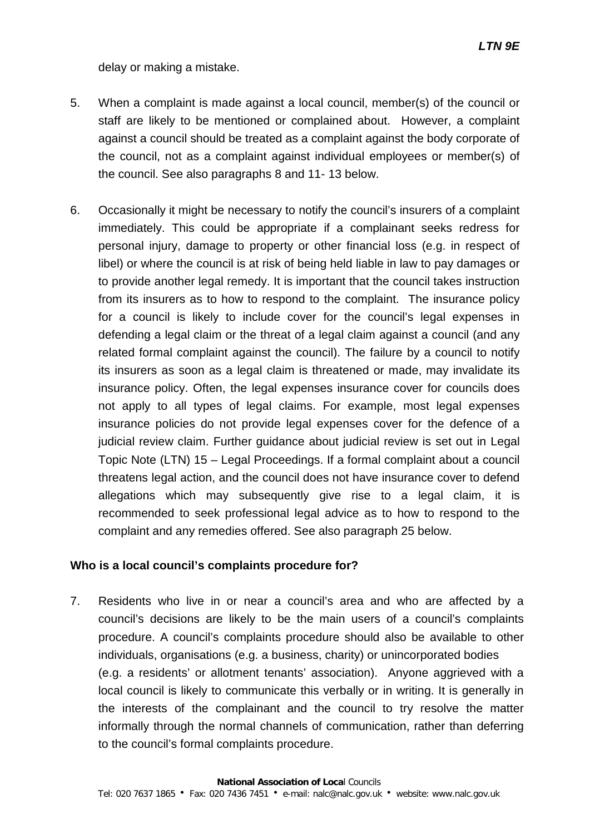delay or making a mistake.

- 5. When a complaint is made against a local council, member(s) of the council or staff are likely to be mentioned or complained about. However, a complaint against a council should be treated as a complaint against the body corporate of the council, not as a complaint against individual employees or member(s) of the council. See also paragraphs 8 and 11- 13 below.
- 6. Occasionally it might be necessary to notify the council's insurers of a complaint immediately. This could be appropriate if a complainant seeks redress for personal injury, damage to property or other financial loss (e.g. in respect of libel) or where the council is at risk of being held liable in law to pay damages or to provide another legal remedy. It is important that the council takes instruction from its insurers as to how to respond to the complaint. The insurance policy for a council is likely to include cover for the council's legal expenses in defending a legal claim or the threat of a legal claim against a council (and any related formal complaint against the council). The failure by a council to notify its insurers as soon as a legal claim is threatened or made, may invalidate its insurance policy. Often, the legal expenses insurance cover for councils does not apply to all types of legal claims. For example, most legal expenses insurance policies do not provide legal expenses cover for the defence of a judicial review claim. Further guidance about judicial review is set out in Legal Topic Note (LTN) 15 – Legal Proceedings. If a formal complaint about a council threatens legal action, and the council does not have insurance cover to defend allegations which may subsequently give rise to a legal claim, it is recommended to seek professional legal advice as to how to respond to the complaint and any remedies offered. See also paragraph 25 below.

#### **Who is a local council's complaints procedure for?**

7. Residents who live in or near a council's area and who are affected by a council's decisions are likely to be the main users of a council's complaints procedure. A council's complaints procedure should also be available to other individuals, organisations (e.g. a business, charity) or unincorporated bodies (e.g. a residents' or allotment tenants' association). Anyone aggrieved with a local council is likely to communicate this verbally or in writing. It is generally in the interests of the complainant and the council to try resolve the matter informally through the normal channels of communication, rather than deferring to the council's formal complaints procedure.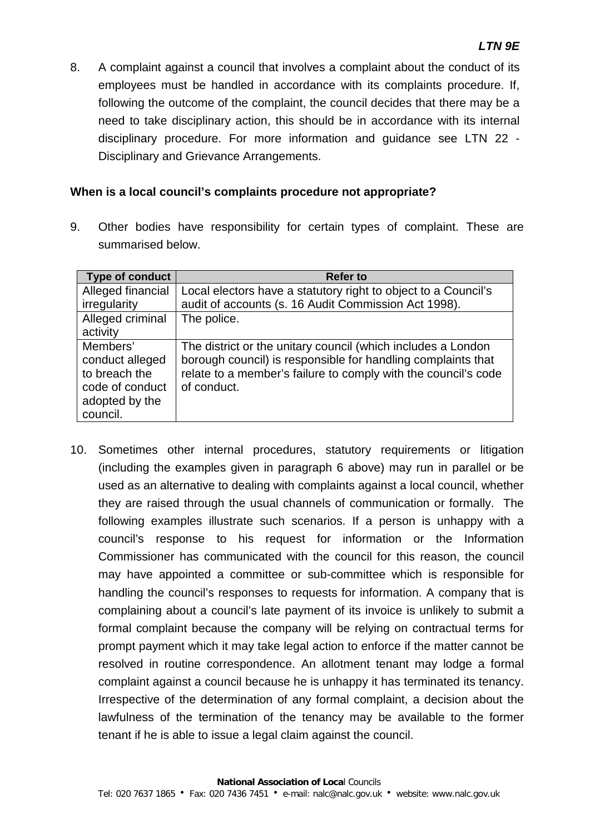8. A complaint against a council that involves a complaint about the conduct of its employees must be handled in accordance with its complaints procedure. If, following the outcome of the complaint, the council decides that there may be a need to take disciplinary action, this should be in accordance with its internal disciplinary procedure. For more information and guidance see LTN 22 - Disciplinary and Grievance Arrangements.

#### **When is a local council's complaints procedure not appropriate?**

9. Other bodies have responsibility for certain types of complaint. These are summarised below.

| <b>Type of conduct</b> | <b>Refer to</b>                                                |
|------------------------|----------------------------------------------------------------|
| Alleged financial      | Local electors have a statutory right to object to a Council's |
| irregularity           | audit of accounts (s. 16 Audit Commission Act 1998).           |
| Alleged criminal       | The police.                                                    |
| activity               |                                                                |
| Members'               | The district or the unitary council (which includes a London   |
| conduct alleged        | borough council) is responsible for handling complaints that   |
| to breach the          | relate to a member's failure to comply with the council's code |
| code of conduct        | of conduct.                                                    |
| adopted by the         |                                                                |
| council.               |                                                                |

10. Sometimes other internal procedures, statutory requirements or litigation (including the examples given in paragraph 6 above) may run in parallel or be used as an alternative to dealing with complaints against a local council, whether they are raised through the usual channels of communication or formally. The following examples illustrate such scenarios. If a person is unhappy with a council's response to his request for information or the Information Commissioner has communicated with the council for this reason, the council may have appointed a committee or sub-committee which is responsible for handling the council's responses to requests for information. A company that is complaining about a council's late payment of its invoice is unlikely to submit a formal complaint because the company will be relying on contractual terms for prompt payment which it may take legal action to enforce if the matter cannot be resolved in routine correspondence. An allotment tenant may lodge a formal complaint against a council because he is unhappy it has terminated its tenancy. Irrespective of the determination of any formal complaint, a decision about the lawfulness of the termination of the tenancy may be available to the former tenant if he is able to issue a legal claim against the council.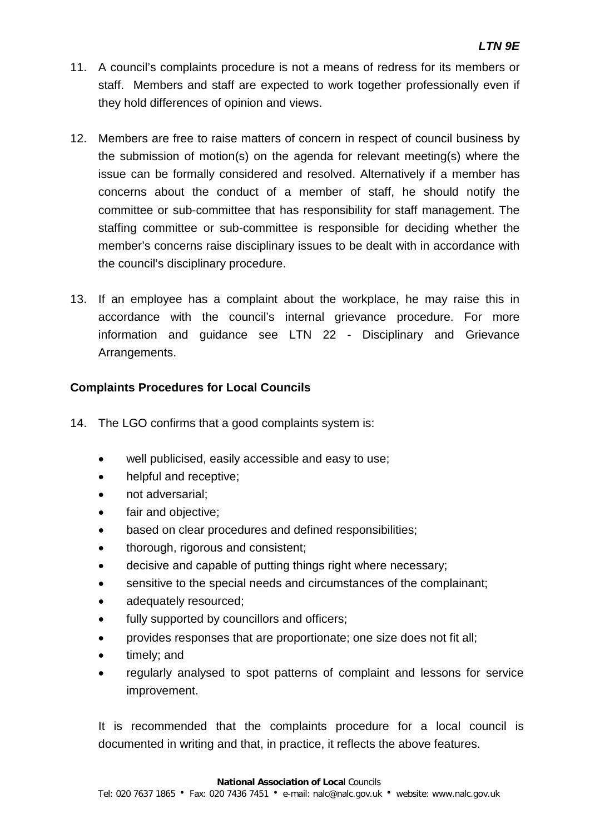- 11. A council's complaints procedure is not a means of redress for its members or staff. Members and staff are expected to work together professionally even if they hold differences of opinion and views.
- 12. Members are free to raise matters of concern in respect of council business by the submission of motion(s) on the agenda for relevant meeting(s) where the issue can be formally considered and resolved. Alternatively if a member has concerns about the conduct of a member of staff, he should notify the committee or sub-committee that has responsibility for staff management. The staffing committee or sub-committee is responsible for deciding whether the member's concerns raise disciplinary issues to be dealt with in accordance with the council's disciplinary procedure.
- 13. If an employee has a complaint about the workplace, he may raise this in accordance with the council's internal grievance procedure. For more information and guidance see LTN 22 - Disciplinary and Grievance Arrangements.

#### **Complaints Procedures for Local Councils**

- 14. The LGO confirms that a good complaints system is:
	- well publicised, easily accessible and easy to use;
	- helpful and receptive;
	- not adversarial;
	- fair and objective;
	- based on clear procedures and defined responsibilities;
	- thorough, rigorous and consistent;
	- decisive and capable of putting things right where necessary;
	- sensitive to the special needs and circumstances of the complainant;
	- adequately resourced;
	- fully supported by councillors and officers;
	- provides responses that are proportionate; one size does not fit all;
	- timely; and
	- regularly analysed to spot patterns of complaint and lessons for service improvement.

It is recommended that the complaints procedure for a local council is documented in writing and that, in practice, it reflects the above features.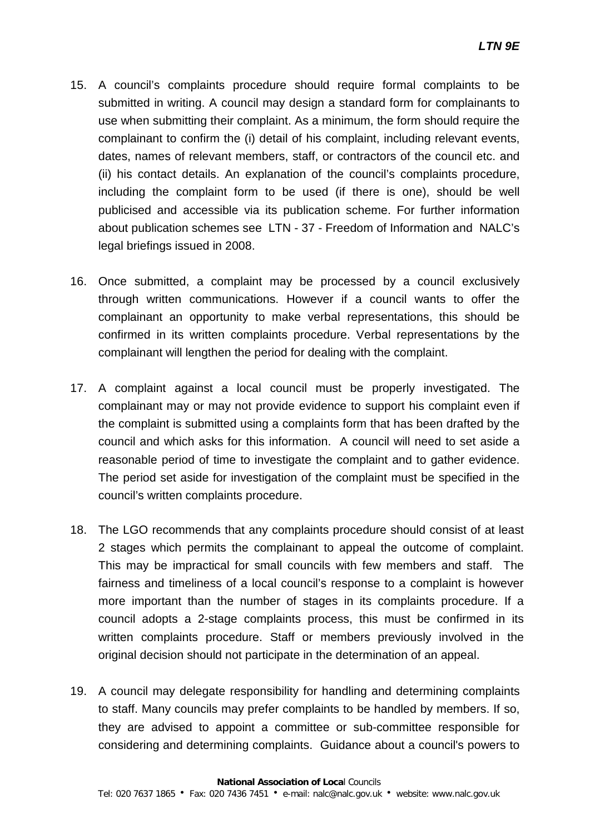- 15. A council's complaints procedure should require formal complaints to be submitted in writing. A council may design a standard form for complainants to use when submitting their complaint. As a minimum, the form should require the complainant to confirm the (i) detail of his complaint, including relevant events, dates, names of relevant members, staff, or contractors of the council etc. and (ii) his contact details. An explanation of the council's complaints procedure, including the complaint form to be used (if there is one), should be well publicised and accessible via its publication scheme. For further information about publication schemes see LTN - 37 - Freedom of Information and NALC's legal briefings issued in 2008.
- 16. Once submitted, a complaint may be processed by a council exclusively through written communications. However if a council wants to offer the complainant an opportunity to make verbal representations, this should be confirmed in its written complaints procedure. Verbal representations by the complainant will lengthen the period for dealing with the complaint.
- 17. A complaint against a local council must be properly investigated. The complainant may or may not provide evidence to support his complaint even if the complaint is submitted using a complaints form that has been drafted by the council and which asks for this information. A council will need to set aside a reasonable period of time to investigate the complaint and to gather evidence. The period set aside for investigation of the complaint must be specified in the council's written complaints procedure.
- 18. The LGO recommends that any complaints procedure should consist of at least 2 stages which permits the complainant to appeal the outcome of complaint. This may be impractical for small councils with few members and staff. The fairness and timeliness of a local council's response to a complaint is however more important than the number of stages in its complaints procedure. If a council adopts a 2-stage complaints process, this must be confirmed in its written complaints procedure. Staff or members previously involved in the original decision should not participate in the determination of an appeal.
- 19. A council may delegate responsibility for handling and determining complaints to staff. Many councils may prefer complaints to be handled by members. If so, they are advised to appoint a committee or sub-committee responsible for considering and determining complaints. Guidance about a council's powers to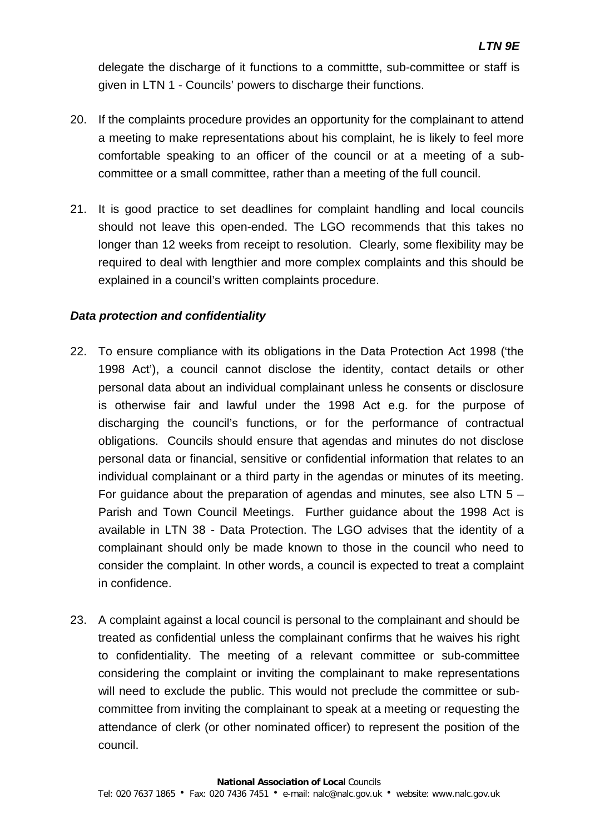delegate the discharge of it functions to a committte, sub-committee or staff is given in LTN 1 - Councils' powers to discharge their functions.

- 20. If the complaints procedure provides an opportunity for the complainant to attend a meeting to make representations about his complaint, he is likely to feel more comfortable speaking to an officer of the council or at a meeting of a subcommittee or a small committee, rather than a meeting of the full council.
- 21. It is good practice to set deadlines for complaint handling and local councils should not leave this open-ended. The LGO recommends that this takes no longer than 12 weeks from receipt to resolution. Clearly, some flexibility may be required to deal with lengthier and more complex complaints and this should be explained in a council's written complaints procedure.

#### *Data protection and confidentiality*

- 22. To ensure compliance with its obligations in the Data Protection Act 1998 ('the 1998 Act'), a council cannot disclose the identity, contact details or other personal data about an individual complainant unless he consents or disclosure is otherwise fair and lawful under the 1998 Act e.g. for the purpose of discharging the council's functions, or for the performance of contractual obligations. Councils should ensure that agendas and minutes do not disclose personal data or financial, sensitive or confidential information that relates to an individual complainant or a third party in the agendas or minutes of its meeting. For guidance about the preparation of agendas and minutes, see also LTN 5 – Parish and Town Council Meetings. Further guidance about the 1998 Act is available in LTN 38 - Data Protection. The LGO advises that the identity of a complainant should only be made known to those in the council who need to consider the complaint. In other words, a council is expected to treat a complaint in confidence.
- 23. A complaint against a local council is personal to the complainant and should be treated as confidential unless the complainant confirms that he waives his right to confidentiality. The meeting of a relevant committee or sub-committee considering the complaint or inviting the complainant to make representations will need to exclude the public. This would not preclude the committee or subcommittee from inviting the complainant to speak at a meeting or requesting the attendance of clerk (or other nominated officer) to represent the position of the council.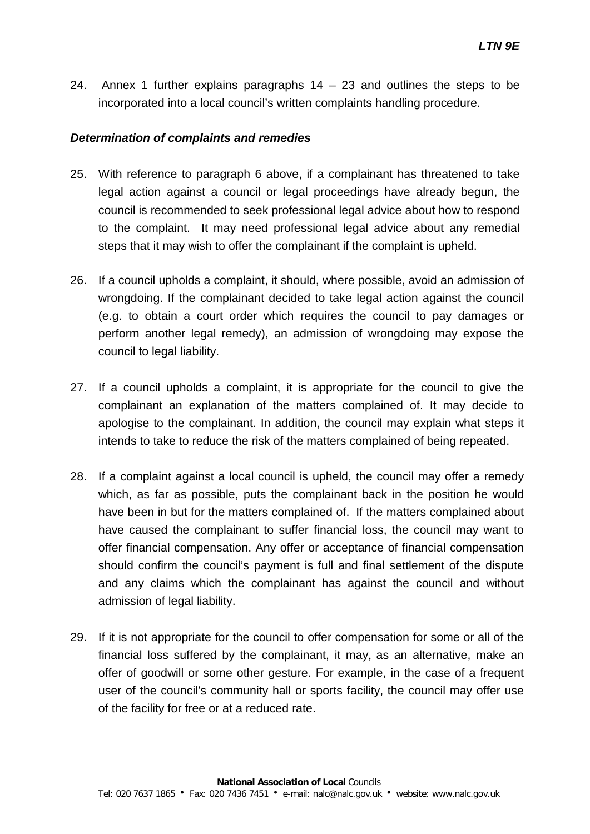24. Annex 1 further explains paragraphs  $14 - 23$  and outlines the steps to be incorporated into a local council's written complaints handling procedure.

#### *Determination of complaints and remedies*

- 25. With reference to paragraph 6 above, if a complainant has threatened to take legal action against a council or legal proceedings have already begun, the council is recommended to seek professional legal advice about how to respond to the complaint. It may need professional legal advice about any remedial steps that it may wish to offer the complainant if the complaint is upheld.
- 26. If a council upholds a complaint, it should, where possible, avoid an admission of wrongdoing. If the complainant decided to take legal action against the council (e.g. to obtain a court order which requires the council to pay damages or perform another legal remedy), an admission of wrongdoing may expose the council to legal liability.
- 27. If a council upholds a complaint, it is appropriate for the council to give the complainant an explanation of the matters complained of. It may decide to apologise to the complainant. In addition, the council may explain what steps it intends to take to reduce the risk of the matters complained of being repeated.
- 28. If a complaint against a local council is upheld, the council may offer a remedy which, as far as possible, puts the complainant back in the position he would have been in but for the matters complained of. If the matters complained about have caused the complainant to suffer financial loss, the council may want to offer financial compensation. Any offer or acceptance of financial compensation should confirm the council's payment is full and final settlement of the dispute and any claims which the complainant has against the council and without admission of legal liability.
- 29. If it is not appropriate for the council to offer compensation for some or all of the financial loss suffered by the complainant, it may, as an alternative, make an offer of goodwill or some other gesture. For example, in the case of a frequent user of the council's community hall or sports facility, the council may offer use of the facility for free or at a reduced rate.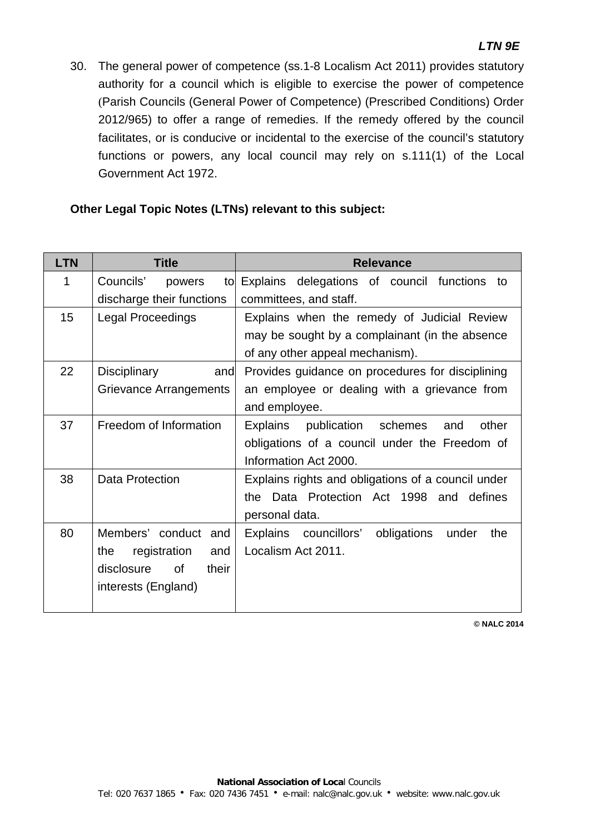30. The general power of competence (ss.1-8 Localism Act 2011) provides statutory authority for a council which is eligible to exercise the power of competence (Parish Councils (General Power of Competence) (Prescribed Conditions) Order 2012/965) to offer a range of remedies. If the remedy offered by the council facilitates, or is conducive or incidental to the exercise of the council's statutory functions or powers, any local council may rely on s.111(1) of the Local Government Act 1972.

#### **Other Legal Topic Notes (LTNs) relevant to this subject:**

| <b>LTN</b> | <b>Title</b>                     | <b>Relevance</b>                                     |
|------------|----------------------------------|------------------------------------------------------|
| 1          | Councils'<br>powers<br>tol       | Explains<br>delegations of council functions<br>to   |
|            | discharge their functions        | committees, and staff.                               |
| 15         | <b>Legal Proceedings</b>         | Explains when the remedy of Judicial Review          |
|            |                                  | may be sought by a complainant (in the absence       |
|            |                                  | of any other appeal mechanism).                      |
| 22         | <b>Disciplinary</b><br>and       | Provides guidance on procedures for disciplining     |
|            | Grievance Arrangements           | an employee or dealing with a grievance from         |
|            |                                  | and employee.                                        |
| 37         | Freedom of Information           | other<br>Explains<br>publication schemes<br>and      |
|            |                                  | obligations of a council under the Freedom of        |
|            |                                  | Information Act 2000.                                |
| 38         | Data Protection                  | Explains rights and obligations of a council under   |
|            |                                  | the Data Protection Act 1998 and<br>defines          |
|            |                                  | personal data.                                       |
| 80         | Members' conduct and             | Explains councillors'<br>obligations<br>under<br>the |
|            | registration<br>and<br>the       | Localism Act 2011.                                   |
|            | disclosure<br><b>of</b><br>their |                                                      |
|            | interests (England)              |                                                      |
|            |                                  |                                                      |

**© NALC 2014**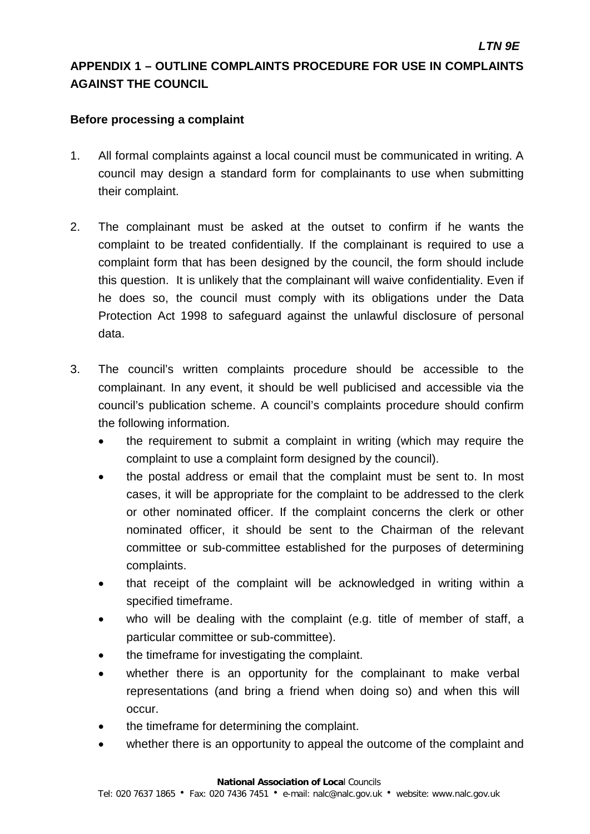### **APPENDIX 1 – OUTLINE COMPLAINTS PROCEDURE FOR USE IN COMPLAINTS AGAINST THE COUNCIL**

#### **Before processing a complaint**

- 1. All formal complaints against a local council must be communicated in writing. A council may design a standard form for complainants to use when submitting their complaint.
- 2. The complainant must be asked at the outset to confirm if he wants the complaint to be treated confidentially. If the complainant is required to use a complaint form that has been designed by the council, the form should include this question. It is unlikely that the complainant will waive confidentiality. Even if he does so, the council must comply with its obligations under the Data Protection Act 1998 to safeguard against the unlawful disclosure of personal data.
- 3. The council's written complaints procedure should be accessible to the complainant. In any event, it should be well publicised and accessible via the council's publication scheme. A council's complaints procedure should confirm the following information.
	- the requirement to submit a complaint in writing (which may require the complaint to use a complaint form designed by the council).
	- the postal address or email that the complaint must be sent to. In most cases, it will be appropriate for the complaint to be addressed to the clerk or other nominated officer. If the complaint concerns the clerk or other nominated officer, it should be sent to the Chairman of the relevant committee or sub-committee established for the purposes of determining complaints.
	- that receipt of the complaint will be acknowledged in writing within a specified timeframe.
	- who will be dealing with the complaint (e.g. title of member of staff, a particular committee or sub-committee).
	- the timeframe for investigating the complaint.
	- whether there is an opportunity for the complainant to make verbal representations (and bring a friend when doing so) and when this will occur.
	- the timeframe for determining the complaint.
	- whether there is an opportunity to appeal the outcome of the complaint and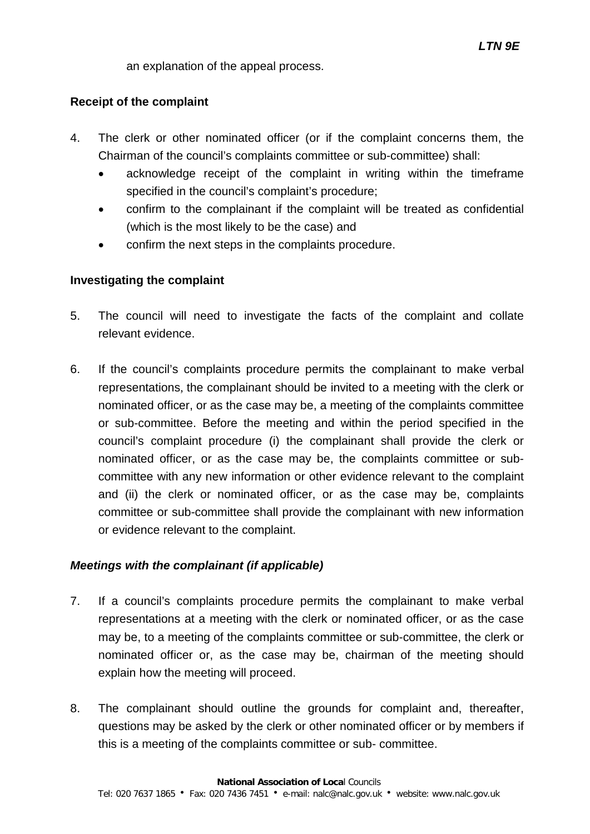an explanation of the appeal process.

#### **Receipt of the complaint**

- 4. The clerk or other nominated officer (or if the complaint concerns them, the Chairman of the council's complaints committee or sub-committee) shall:
	- acknowledge receipt of the complaint in writing within the timeframe specified in the council's complaint's procedure;
	- confirm to the complainant if the complaint will be treated as confidential (which is the most likely to be the case) and
	- confirm the next steps in the complaints procedure.

#### **Investigating the complaint**

- 5. The council will need to investigate the facts of the complaint and collate relevant evidence.
- 6. If the council's complaints procedure permits the complainant to make verbal representations, the complainant should be invited to a meeting with the clerk or nominated officer, or as the case may be, a meeting of the complaints committee or sub-committee. Before the meeting and within the period specified in the council's complaint procedure (i) the complainant shall provide the clerk or nominated officer, or as the case may be, the complaints committee or subcommittee with any new information or other evidence relevant to the complaint and (ii) the clerk or nominated officer, or as the case may be, complaints committee or sub-committee shall provide the complainant with new information or evidence relevant to the complaint.

#### *Meetings with the complainant (if applicable)*

- 7. If a council's complaints procedure permits the complainant to make verbal representations at a meeting with the clerk or nominated officer, or as the case may be, to a meeting of the complaints committee or sub-committee, the clerk or nominated officer or, as the case may be, chairman of the meeting should explain how the meeting will proceed.
- 8. The complainant should outline the grounds for complaint and, thereafter, questions may be asked by the clerk or other nominated officer or by members if this is a meeting of the complaints committee or sub- committee.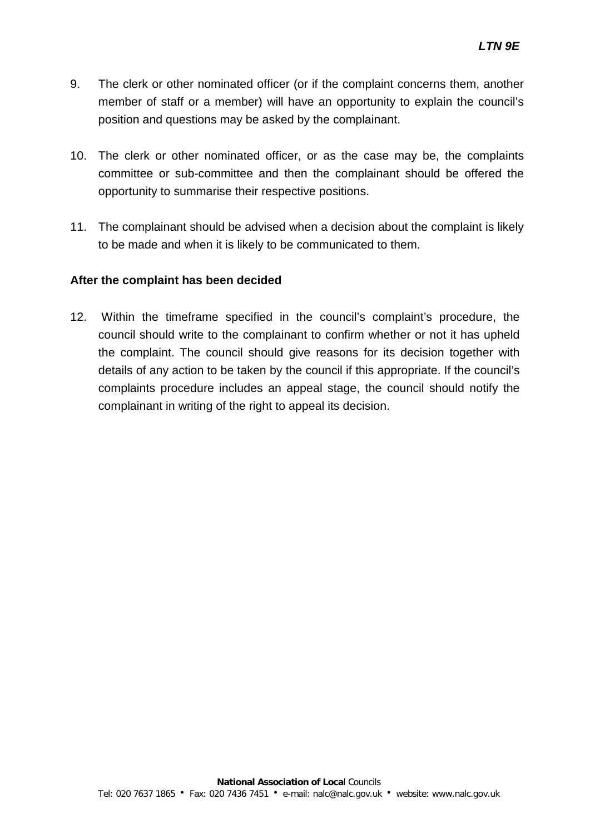- 9. The clerk or other nominated officer (or if the complaint concerns them, another member of staff or a member) will have an opportunity to explain the council's position and questions may be asked by the complainant.
- 10. The clerk or other nominated officer, or as the case may be, the complaints committee or sub-committee and then the complainant should be offered the opportunity to summarise their respective positions.
- 11. The complainant should be advised when a decision about the complaint is likely to be made and when it is likely to be communicated to them.

#### **After the complaint has been decided**

12. Within the timeframe specified in the council's complaint's procedure, the council should write to the complainant to confirm whether or not it has upheld the complaint. The council should give reasons for its decision together with details of any action to be taken by the council if this appropriate. If the council's complaints procedure includes an appeal stage, the council should notify the complainant in writing of the right to appeal its decision.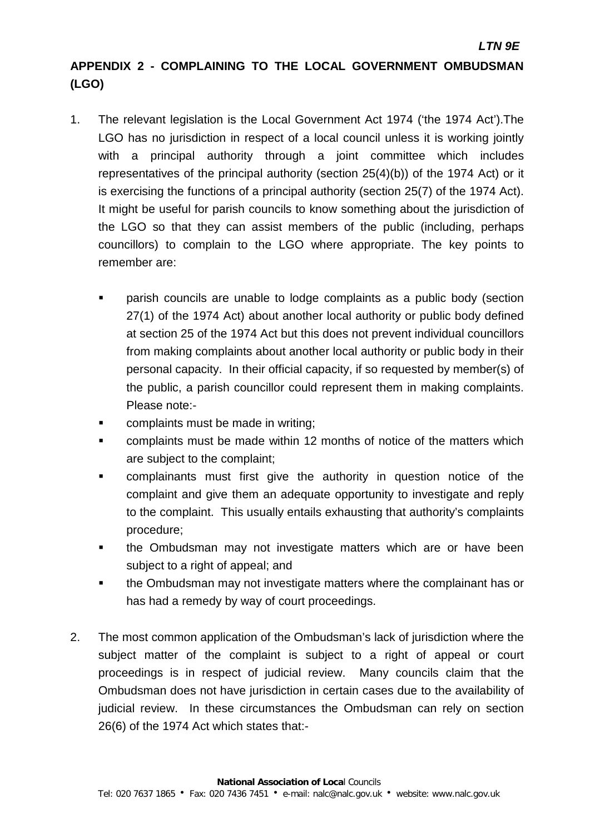## **APPENDIX 2 - COMPLAINING TO THE LOCAL GOVERNMENT OMBUDSMAN (LGO)**

- 1. The relevant legislation is the Local Government Act 1974 ('the 1974 Act').The LGO has no jurisdiction in respect of a local council unless it is working jointly with a principal authority through a joint committee which includes representatives of the principal authority (section 25(4)(b)) of the 1974 Act) or it is exercising the functions of a principal authority (section 25(7) of the 1974 Act). It might be useful for parish councils to know something about the jurisdiction of the LGO so that they can assist members of the public (including, perhaps councillors) to complain to the LGO where appropriate. The key points to remember are:
	- parish councils are unable to lodge complaints as a public body (section 27(1) of the 1974 Act) about another local authority or public body defined at section 25 of the 1974 Act but this does not prevent individual councillors from making complaints about another local authority or public body in their personal capacity. In their official capacity, if so requested by member(s) of the public, a parish councillor could represent them in making complaints. Please note:-
	- complaints must be made in writing;
	- complaints must be made within 12 months of notice of the matters which are subject to the complaint;
	- complainants must first give the authority in question notice of the complaint and give them an adequate opportunity to investigate and reply to the complaint. This usually entails exhausting that authority's complaints procedure;
	- the Ombudsman may not investigate matters which are or have been subject to a right of appeal; and
	- the Ombudsman may not investigate matters where the complainant has or has had a remedy by way of court proceedings.
- 2. The most common application of the Ombudsman's lack of jurisdiction where the subject matter of the complaint is subject to a right of appeal or court proceedings is in respect of judicial review. Many councils claim that the Ombudsman does not have jurisdiction in certain cases due to the availability of judicial review. In these circumstances the Ombudsman can rely on section 26(6) of the 1974 Act which states that:-